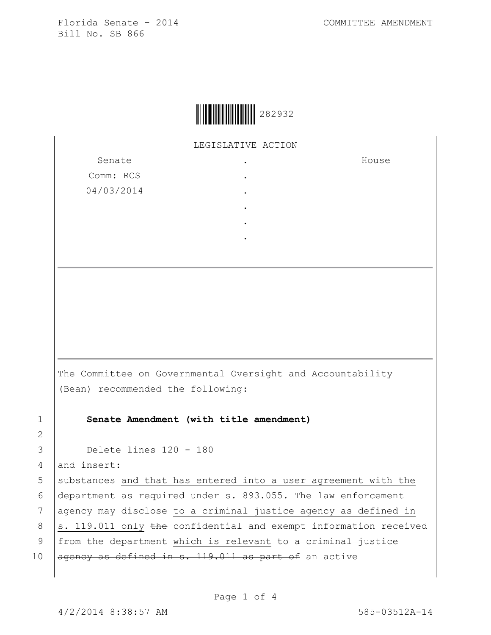House



LEGISLATIVE ACTION

Senate Comm: RCS 04/03/2014 . . . . . .

The Committee on Governmental Oversight and Accountability (Bean) recommended the following:

1 **Senate Amendment (with title amendment)**

3 Delete lines 120 - 180

4 and insert:

 substances and that has entered into a user agreement with the department as required under s. 893.055. The law enforcement 7 | agency may disclose to a criminal justice agency as defined in  $\vert$ s. 119.011 only the confidential and exempt information received 9 | from the department which is relevant to a criminal justice  $\sqrt{a}$  agency as defined in s. 119.011 as part of an active

2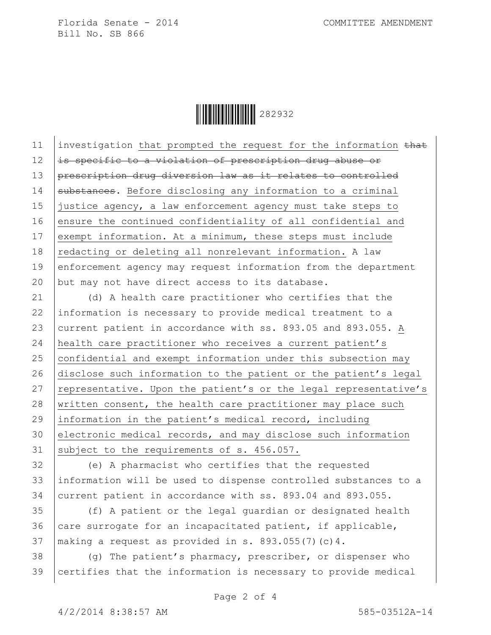Ì282932,Î282932

11 investigation that prompted the request for the information that  $12$  is specific to a violation of prescription drug abuse or 13 prescription drug diversion law as it relates to controlled 14 substances. Before disclosing any information to a criminal 15 justice agency, a law enforcement agency must take steps to 16 ensure the continued confidentiality of all confidential and 17 exempt information. At a minimum, these steps must include 18 redacting or deleting all nonrelevant information. A law 19 enforcement agency may request information from the department 20 but may not have direct access to its database.

21 (d) A health care practitioner who certifies that the 22 information is necessary to provide medical treatment to a 23 current patient in accordance with ss. 893.05 and 893.055. A 24 health care practitioner who receives a current patient's  $25$  confidential and exempt information under this subsection may 26 disclose such information to the patient or the patient's legal 27 | representative. Upon the patient's or the legal representative's 28 written consent, the health care practitioner may place such 29 information in the patient's medical record, including 30 electronic medical records, and may disclose such information 31 subject to the requirements of s. 456.057.

32 (e) A pharmacist who certifies that the requested 33 information will be used to dispense controlled substances to a 34 current patient in accordance with ss. 893.04 and 893.055.

35 (f) A patient or the legal guardian or designated health 36  $\vert$  care surrogate for an incapacitated patient, if applicable, 37 | making a request as provided in s. 893.055(7) (c)  $4$ .

 $38$  (g) The patient's pharmacy, prescriber, or dispenser who 39 certifies that the information is necessary to provide medical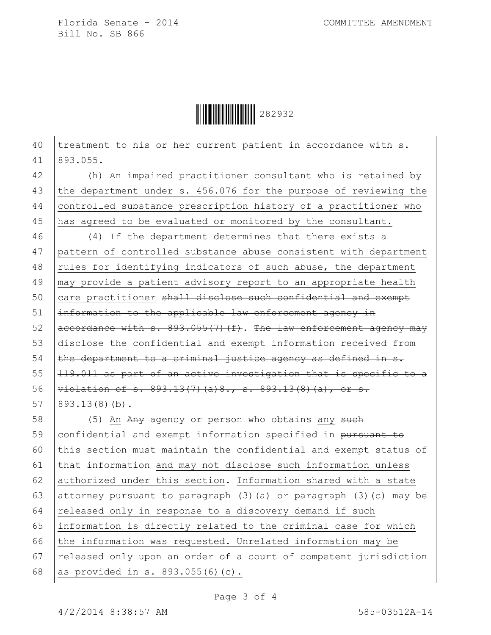Ì282932,Î282932

40 treatment to his or her current patient in accordance with s. 41 893.055.

42 (h) An impaired practitioner consultant who is retained by 43 the department under s. 456.076 for the purpose of reviewing the 44 controlled substance prescription history of a practitioner who 45 has agreed to be evaluated or monitored by the consultant.

46 (4) If the department determines that there exists a pattern of controlled substance abuse consistent with department 48 rules for identifying indicators of such abuse, the department may provide a patient advisory report to an appropriate health 50 care practitioner shall disclose such confidential and exempt |information to the applicable law enforcement agency in  $\vert$  accordance with s. 893.055(7)(f). The law enforcement agency may disclose the confidential and exempt information received from the department to a criminal justice agency as defined in s.  $|119.011$  as part of an active investigation that is specific to a 56 | violation of s. 893.13(7)(a) 8., s. 893.13(8)(a), or s.  $893.13(8)(b)$ .

58 (5) An Any agency or person who obtains any such 59 confidential and exempt information specified in pursuant to 60 this section must maintain the confidential and exempt status of 61 that information and may not disclose such information unless 62 authorized under this section. Information shared with a state 63 attorney pursuant to paragraph  $(3)$  (a) or paragraph  $(3)$  (c) may be 64  $rel$  released only in response to a discovery demand if such 65 information is directly related to the criminal case for which 66 the information was requested. Unrelated information may be 67 released only upon an order of a court of competent jurisdiction 68 as provided in s. 893.055(6)(c).